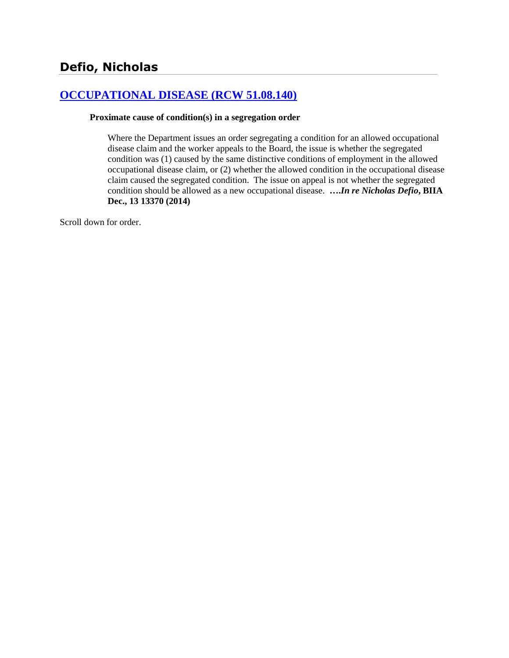# **[OCCUPATIONAL DISEASE \(RCW 51.08.140\)](http://www.biia.wa.gov/SDSubjectIndex.html#OCCUPATIONAL_DISEASE)**

### **Proximate cause of condition(s) in a segregation order**

Where the Department issues an order segregating a condition for an allowed occupational disease claim and the worker appeals to the Board, the issue is whether the segregated condition was (1) caused by the same distinctive conditions of employment in the allowed occupational disease claim, or (2) whether the allowed condition in the occupational disease claim caused the segregated condition. The issue on appeal is not whether the segregated condition should be allowed as a new occupational disease. **….***In re Nicholas Defio***, BIIA Dec., 13 13370 (2014)**

Scroll down for order.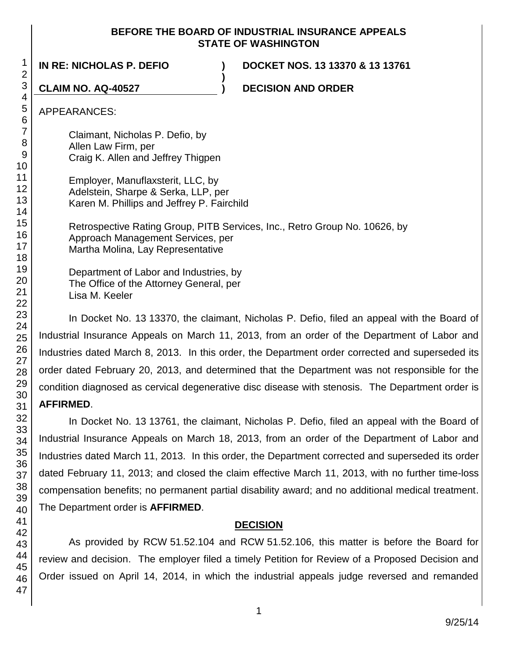## **BEFORE THE BOARD OF INDUSTRIAL INSURANCE APPEALS STATE OF WASHINGTON**

**)**

**IN RE: NICHOLAS P. DEFIO ) DOCKET NOS. 13 13370 & 13 13761**

**CLAIM NO. AQ-40527 ) DECISION AND ORDER**

APPEARANCES:

Claimant, Nicholas P. Defio, by Allen Law Firm, per Craig K. Allen and Jeffrey Thigpen

| Employer, Manuflaxsterit, LLC, by          |
|--------------------------------------------|
| Adelstein, Sharpe & Serka, LLP, per        |
| Karen M. Phillips and Jeffrey P. Fairchild |

Retrospective Rating Group, PITB Services, Inc., Retro Group No. 10626, by Approach Management Services, per Martha Molina, Lay Representative

Department of Labor and Industries, by The Office of the Attorney General, per Lisa M. Keeler

In Docket No. 13 13370, the claimant, Nicholas P. Defio, filed an appeal with the Board of Industrial Insurance Appeals on March 11, 2013, from an order of the Department of Labor and Industries dated March 8, 2013. In this order, the Department order corrected and superseded its order dated February 20, 2013, and determined that the Department was not responsible for the condition diagnosed as cervical degenerative disc disease with stenosis. The Department order is **AFFIRMED**.

In Docket No. 13 13761, the claimant, Nicholas P. Defio, filed an appeal with the Board of Industrial Insurance Appeals on March 18, 2013, from an order of the Department of Labor and Industries dated March 11, 2013. In this order, the Department corrected and superseded its order dated February 11, 2013; and closed the claim effective March 11, 2013, with no further time-loss compensation benefits; no permanent partial disability award; and no additional medical treatment. The Department order is **AFFIRMED**.

# **DECISION**

As provided by RCW 51.52.104 and RCW 51.52.106, this matter is before the Board for review and decision. The employer filed a timely Petition for Review of a Proposed Decision and Order issued on April 14, 2014, in which the industrial appeals judge reversed and remanded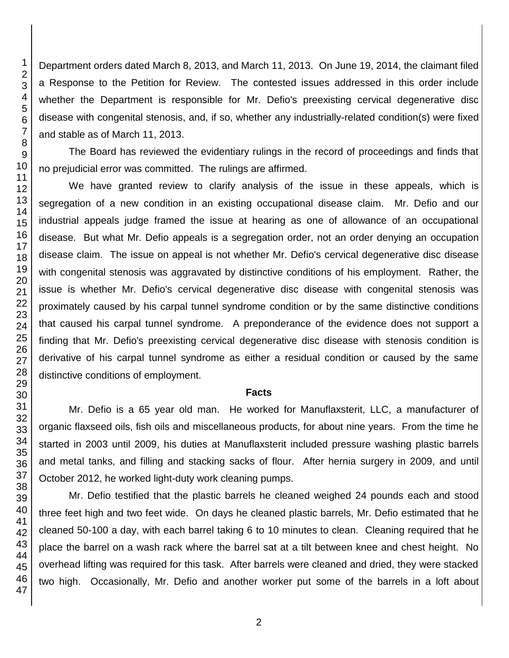Department orders dated March 8, 2013, and March 11, 2013. On June 19, 2014, the claimant filed a Response to the Petition for Review. The contested issues addressed in this order include whether the Department is responsible for Mr. Defio's preexisting cervical degenerative disc disease with congenital stenosis, and, if so, whether any industrially-related condition(s) were fixed and stable as of March 11, 2013.

The Board has reviewed the evidentiary rulings in the record of proceedings and finds that no prejudicial error was committed. The rulings are affirmed.

We have granted review to clarify analysis of the issue in these appeals, which is segregation of a new condition in an existing occupational disease claim. Mr. Defio and our industrial appeals judge framed the issue at hearing as one of allowance of an occupational disease. But what Mr. Defio appeals is a segregation order, not an order denying an occupation disease claim. The issue on appeal is not whether Mr. Defio's cervical degenerative disc disease with congenital stenosis was aggravated by distinctive conditions of his employment. Rather, the issue is whether Mr. Defio's cervical degenerative disc disease with congenital stenosis was proximately caused by his carpal tunnel syndrome condition or by the same distinctive conditions that caused his carpal tunnel syndrome. A preponderance of the evidence does not support a finding that Mr. Defio's preexisting cervical degenerative disc disease with stenosis condition is derivative of his carpal tunnel syndrome as either a residual condition or caused by the same distinctive conditions of employment.

#### **Facts**

Mr. Defio is a 65 year old man. He worked for Manuflaxsterit, LLC, a manufacturer of organic flaxseed oils, fish oils and miscellaneous products, for about nine years. From the time he started in 2003 until 2009, his duties at Manuflaxsterit included pressure washing plastic barrels and metal tanks, and filling and stacking sacks of flour. After hernia surgery in 2009, and until October 2012, he worked light-duty work cleaning pumps.

Mr. Defio testified that the plastic barrels he cleaned weighed 24 pounds each and stood three feet high and two feet wide. On days he cleaned plastic barrels, Mr. Defio estimated that he cleaned 50-100 a day, with each barrel taking 6 to 10 minutes to clean. Cleaning required that he place the barrel on a wash rack where the barrel sat at a tilt between knee and chest height. No overhead lifting was required for this task. After barrels were cleaned and dried, they were stacked two high. Occasionally, Mr. Defio and another worker put some of the barrels in a loft about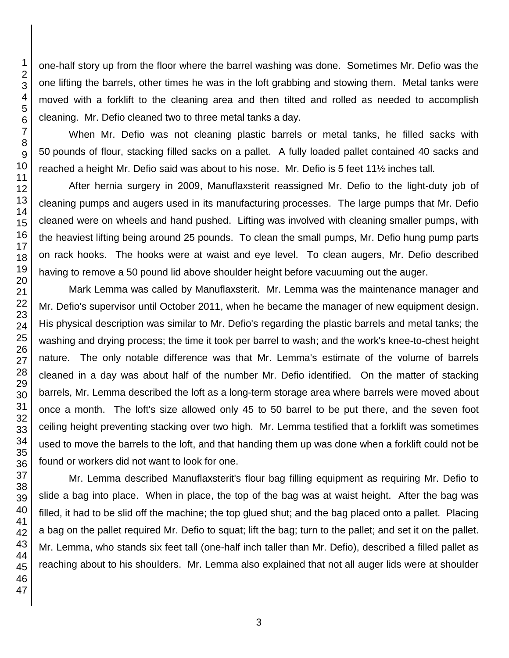one-half story up from the floor where the barrel washing was done. Sometimes Mr. Defio was the one lifting the barrels, other times he was in the loft grabbing and stowing them. Metal tanks were moved with a forklift to the cleaning area and then tilted and rolled as needed to accomplish cleaning. Mr. Defio cleaned two to three metal tanks a day.

When Mr. Defio was not cleaning plastic barrels or metal tanks, he filled sacks with pounds of flour, stacking filled sacks on a pallet. A fully loaded pallet contained 40 sacks and reached a height Mr. Defio said was about to his nose. Mr. Defio is 5 feet 11½ inches tall.

After hernia surgery in 2009, Manuflaxsterit reassigned Mr. Defio to the light-duty job of cleaning pumps and augers used in its manufacturing processes. The large pumps that Mr. Defio cleaned were on wheels and hand pushed. Lifting was involved with cleaning smaller pumps, with the heaviest lifting being around 25 pounds. To clean the small pumps, Mr. Defio hung pump parts on rack hooks. The hooks were at waist and eye level. To clean augers, Mr. Defio described having to remove a 50 pound lid above shoulder height before vacuuming out the auger.

Mark Lemma was called by Manuflaxsterit. Mr. Lemma was the maintenance manager and Mr. Defio's supervisor until October 2011, when he became the manager of new equipment design. His physical description was similar to Mr. Defio's regarding the plastic barrels and metal tanks; the washing and drying process; the time it took per barrel to wash; and the work's knee-to-chest height nature. The only notable difference was that Mr. Lemma's estimate of the volume of barrels cleaned in a day was about half of the number Mr. Defio identified. On the matter of stacking barrels, Mr. Lemma described the loft as a long-term storage area where barrels were moved about once a month. The loft's size allowed only 45 to 50 barrel to be put there, and the seven foot ceiling height preventing stacking over two high. Mr. Lemma testified that a forklift was sometimes used to move the barrels to the loft, and that handing them up was done when a forklift could not be found or workers did not want to look for one.

Mr. Lemma described Manuflaxsterit's flour bag filling equipment as requiring Mr. Defio to slide a bag into place. When in place, the top of the bag was at waist height. After the bag was filled, it had to be slid off the machine; the top glued shut; and the bag placed onto a pallet. Placing a bag on the pallet required Mr. Defio to squat; lift the bag; turn to the pallet; and set it on the pallet. Mr. Lemma, who stands six feet tall (one-half inch taller than Mr. Defio), described a filled pallet as reaching about to his shoulders. Mr. Lemma also explained that not all auger lids were at shoulder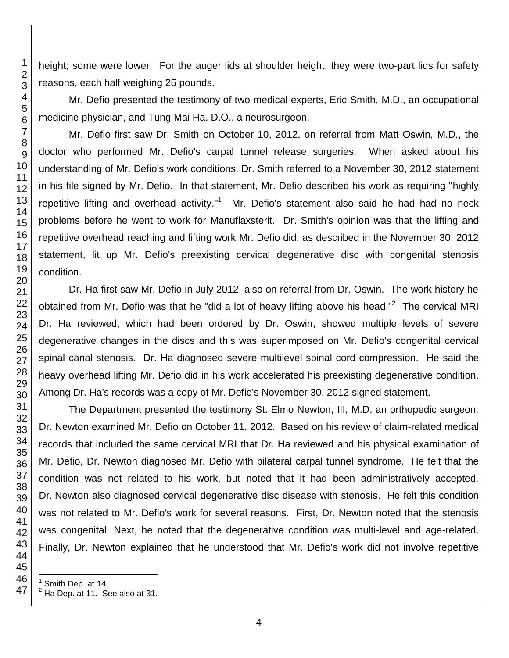height; some were lower. For the auger lids at shoulder height, they were two-part lids for safety reasons, each half weighing 25 pounds.

Mr. Defio presented the testimony of two medical experts, Eric Smith, M.D., an occupational medicine physician, and Tung Mai Ha, D.O., a neurosurgeon.

Mr. Defio first saw Dr. Smith on October 10, 2012, on referral from Matt Oswin, M.D., the doctor who performed Mr. Defio's carpal tunnel release surgeries. When asked about his understanding of Mr. Defio's work conditions, Dr. Smith referred to a November 30, 2012 statement in his file signed by Mr. Defio. In that statement, Mr. Defio described his work as requiring "highly repetitive lifting and overhead activity."<sup>1</sup> Mr. Defio's statement also said he had had no neck problems before he went to work for Manuflaxsterit. Dr. Smith's opinion was that the lifting and repetitive overhead reaching and lifting work Mr. Defio did, as described in the November 30, 2012 statement, lit up Mr. Defio's preexisting cervical degenerative disc with congenital stenosis condition.

Dr. Ha first saw Mr. Defio in July 2012, also on referral from Dr. Oswin. The work history he obtained from Mr. Defio was that he "did a lot of heavy lifting above his head."<sup>2</sup> The cervical MRI Dr. Ha reviewed, which had been ordered by Dr. Oswin, showed multiple levels of severe degenerative changes in the discs and this was superimposed on Mr. Defio's congenital cervical spinal canal stenosis. Dr. Ha diagnosed severe multilevel spinal cord compression. He said the heavy overhead lifting Mr. Defio did in his work accelerated his preexisting degenerative condition. Among Dr. Ha's records was a copy of Mr. Defio's November 30, 2012 signed statement.

The Department presented the testimony St. Elmo Newton, III, M.D. an orthopedic surgeon. Dr. Newton examined Mr. Defio on October 11, 2012. Based on his review of claim-related medical records that included the same cervical MRI that Dr. Ha reviewed and his physical examination of Mr. Defio, Dr. Newton diagnosed Mr. Defio with bilateral carpal tunnel syndrome. He felt that the condition was not related to his work, but noted that it had been administratively accepted. Dr. Newton also diagnosed cervical degenerative disc disease with stenosis. He felt this condition was not related to Mr. Defio's work for several reasons. First, Dr. Newton noted that the stenosis was congenital. Next, he noted that the degenerative condition was multi-level and age-related. Finally, Dr. Newton explained that he understood that Mr. Defio's work did not involve repetitive

l

 Smith Dep. at 14.

 $<sup>2</sup>$  Ha Dep. at 11. See also at 31.</sup>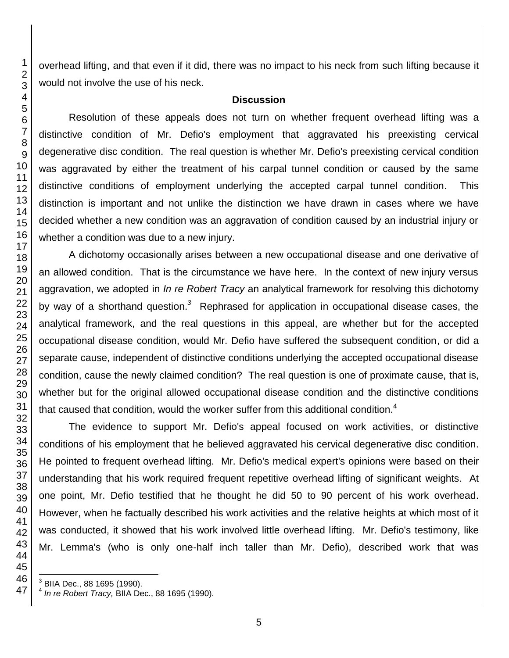overhead lifting, and that even if it did, there was no impact to his neck from such lifting because it would not involve the use of his neck.

#### **Discussion**

Resolution of these appeals does not turn on whether frequent overhead lifting was a distinctive condition of Mr. Defio's employment that aggravated his preexisting cervical degenerative disc condition. The real question is whether Mr. Defio's preexisting cervical condition was aggravated by either the treatment of his carpal tunnel condition or caused by the same distinctive conditions of employment underlying the accepted carpal tunnel condition. This distinction is important and not unlike the distinction we have drawn in cases where we have decided whether a new condition was an aggravation of condition caused by an industrial injury or whether a condition was due to a new injury.

A dichotomy occasionally arises between a new occupational disease and one derivative of an allowed condition. That is the circumstance we have here. In the context of new injury versus aggravation, we adopted in *In re Robert Tracy* an analytical framework for resolving this dichotomy by way of a shorthand question.<sup>3</sup> Rephrased for application in occupational disease cases, the analytical framework, and the real questions in this appeal, are whether but for the accepted occupational disease condition, would Mr. Defio have suffered the subsequent condition, or did a separate cause, independent of distinctive conditions underlying the accepted occupational disease condition, cause the newly claimed condition? The real question is one of proximate cause, that is, whether but for the original allowed occupational disease condition and the distinctive conditions that caused that condition, would the worker suffer from this additional condition.<sup>4</sup>

The evidence to support Mr. Defio's appeal focused on work activities, or distinctive conditions of his employment that he believed aggravated his cervical degenerative disc condition. He pointed to frequent overhead lifting. Mr. Defio's medical expert's opinions were based on their understanding that his work required frequent repetitive overhead lifting of significant weights. At one point, Mr. Defio testified that he thought he did 50 to 90 percent of his work overhead. However, when he factually described his work activities and the relative heights at which most of it was conducted, it showed that his work involved little overhead lifting. Mr. Defio's testimony, like Mr. Lemma's (who is only one-half inch taller than Mr. Defio), described work that was

 3 BIIA Dec., 88 1695 (1990).

 *In re Robert Tracy,* BIIA Dec., 88 1695 (1990).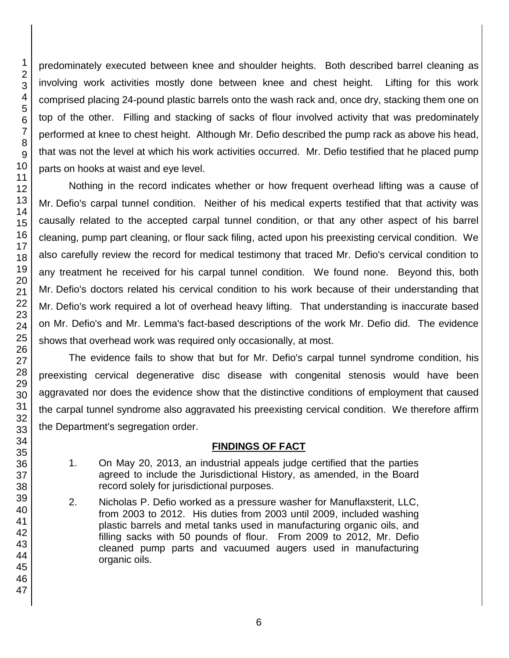predominately executed between knee and shoulder heights. Both described barrel cleaning as involving work activities mostly done between knee and chest height. Lifting for this work comprised placing 24-pound plastic barrels onto the wash rack and, once dry, stacking them one on top of the other. Filling and stacking of sacks of flour involved activity that was predominately performed at knee to chest height. Although Mr. Defio described the pump rack as above his head, that was not the level at which his work activities occurred. Mr. Defio testified that he placed pump parts on hooks at waist and eye level.

Nothing in the record indicates whether or how frequent overhead lifting was a cause of Mr. Defio's carpal tunnel condition. Neither of his medical experts testified that that activity was causally related to the accepted carpal tunnel condition, or that any other aspect of his barrel cleaning, pump part cleaning, or flour sack filing, acted upon his preexisting cervical condition. We also carefully review the record for medical testimony that traced Mr. Defio's cervical condition to any treatment he received for his carpal tunnel condition. We found none. Beyond this, both Mr. Defio's doctors related his cervical condition to his work because of their understanding that Mr. Defio's work required a lot of overhead heavy lifting. That understanding is inaccurate based on Mr. Defio's and Mr. Lemma's fact-based descriptions of the work Mr. Defio did. The evidence shows that overhead work was required only occasionally, at most.

The evidence fails to show that but for Mr. Defio's carpal tunnel syndrome condition, his preexisting cervical degenerative disc disease with congenital stenosis would have been aggravated nor does the evidence show that the distinctive conditions of employment that caused the carpal tunnel syndrome also aggravated his preexisting cervical condition. We therefore affirm the Department's segregation order.

# **FINDINGS OF FACT**

- 1. On May 20, 2013, an industrial appeals judge certified that the parties agreed to include the Jurisdictional History, as amended, in the Board record solely for jurisdictional purposes.
- 2. Nicholas P. Defio worked as a pressure washer for Manuflaxsterit, LLC, from 2003 to 2012. His duties from 2003 until 2009, included washing plastic barrels and metal tanks used in manufacturing organic oils, and filling sacks with 50 pounds of flour. From 2009 to 2012, Mr. Defio cleaned pump parts and vacuumed augers used in manufacturing organic oils.